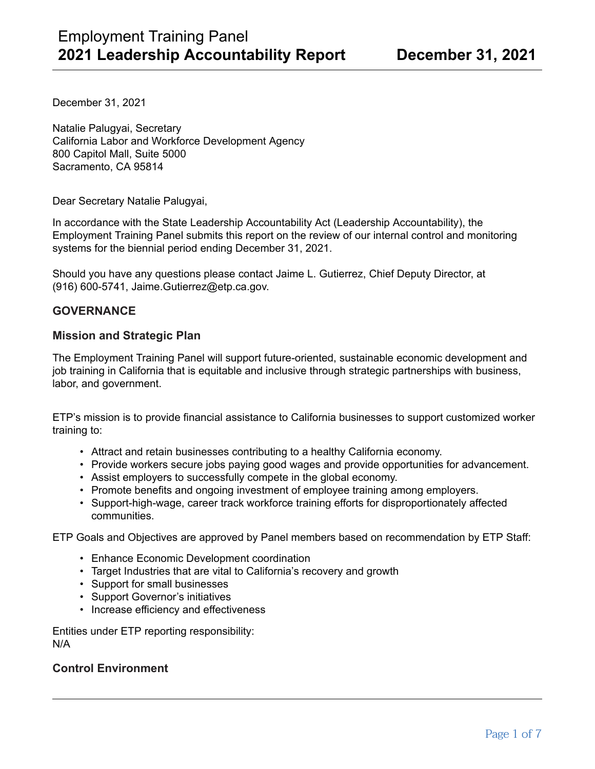December 31, 2021

 California Labor and Workforce Development Agency Natalie Palugyai, Secretary 800 Capitol Mall, Suite 5000 Sacramento, CA 95814

Dear Secretary Natalie Palugyai,

 Employment Training Panel submits this report on the review of our internal control and monitoring systems for the biennial period ending December 31, 2021. In accordance with the State Leadership Accountability Act (Leadership Accountability), the

 Should you have any questions please contact Jaime L. Gutierrez, Chief Deputy Director, at (916) 600-5741, Jaime.Gutierrez@etp.ca.gov.

## **GOVERNANCE**

## **Mission and Strategic Plan**

The Employment Training Panel will support future-oriented, sustainable economic development and job training in California that is equitable and inclusive through strategic partnerships with business, labor, and government.

ETP's mission is to provide financial assistance to California businesses to support customized worker training to:

- Attract and retain businesses contributing to a healthy California economy.
- Provide workers secure jobs paying good wages and provide opportunities for advancement.
- Assist employers to successfully compete in the global economy.
- Promote benefits and ongoing investment of employee training among employers.
- Support-high-wage, career track workforce training efforts for disproportionately affected communities.

ETP Goals and Objectives are approved by Panel members based on recommendation by ETP Staff:

- Enhance Economic Development coordination
- Target Industries that are vital to California's recovery and growth
- Support for small businesses
- Support Governor's initiatives
- Increase efficiency and effectiveness

Entities under ETP reporting responsibility: N/A

## **Control Environment**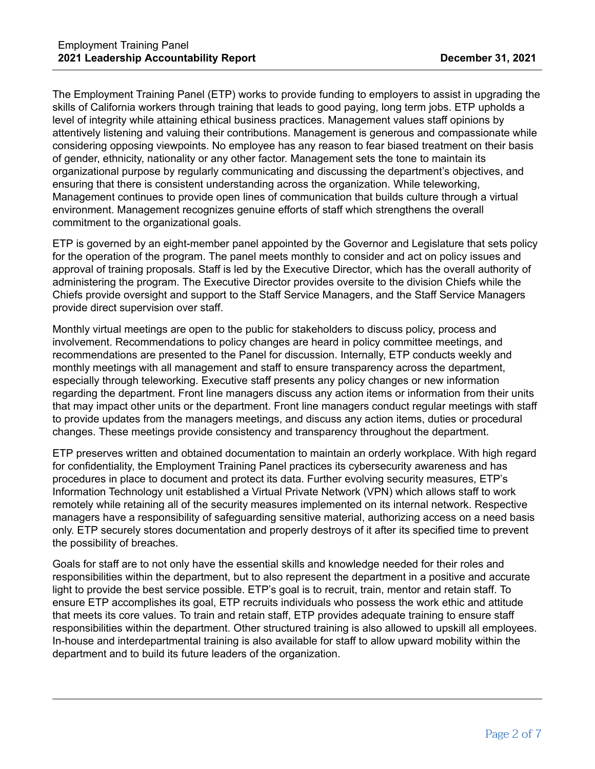The Employment Training Panel (ETP) works to provide funding to employers to assist in upgrading the skills of California workers through training that leads to good paying, long term jobs. ETP upholds a level of integrity while attaining ethical business practices. Management values staff opinions by attentively listening and valuing their contributions. Management is generous and compassionate while considering opposing viewpoints. No employee has any reason to fear biased treatment on their basis of gender, ethnicity, nationality or any other factor. Management sets the tone to maintain its organizational purpose by regularly communicating and discussing the department's objectives, and ensuring that there is consistent understanding across the organization. While teleworking, Management continues to provide open lines of communication that builds culture through a virtual environment. Management recognizes genuine efforts of staff which strengthens the overall commitment to the organizational goals.

ETP is governed by an eight-member panel appointed by the Governor and Legislature that sets policy for the operation of the program. The panel meets monthly to consider and act on policy issues and approval of training proposals. Staff is led by the Executive Director, which has the overall authority of administering the program. The Executive Director provides oversite to the division Chiefs while the Chiefs provide oversight and support to the Staff Service Managers, and the Staff Service Managers provide direct supervision over staff.

Monthly virtual meetings are open to the public for stakeholders to discuss policy, process and involvement. Recommendations to policy changes are heard in policy committee meetings, and recommendations are presented to the Panel for discussion. Internally, ETP conducts weekly and monthly meetings with all management and staff to ensure transparency across the department, especially through teleworking. Executive staff presents any policy changes or new information regarding the department. Front line managers discuss any action items or information from their units that may impact other units or the department. Front line managers conduct regular meetings with staff to provide updates from the managers meetings, and discuss any action items, duties or procedural changes. These meetings provide consistency and transparency throughout the department.

ETP preserves written and obtained documentation to maintain an orderly workplace. With high regard for confidentiality, the Employment Training Panel practices its cybersecurity awareness and has procedures in place to document and protect its data. Further evolving security measures, ETP's Information Technology unit established a Virtual Private Network (VPN) which allows staff to work remotely while retaining all of the security measures implemented on its internal network. Respective managers have a responsibility of safeguarding sensitive material, authorizing access on a need basis only. ETP securely stores documentation and properly destroys of it after its specified time to prevent the possibility of breaches.

Goals for staff are to not only have the essential skills and knowledge needed for their roles and responsibilities within the department, but to also represent the department in a positive and accurate light to provide the best service possible. ETP's goal is to recruit, train, mentor and retain staff. To ensure ETP accomplishes its goal, ETP recruits individuals who possess the work ethic and attitude that meets its core values. To train and retain staff, ETP provides adequate training to ensure staff responsibilities within the department. Other structured training is also allowed to upskill all employees. In-house and interdepartmental training is also available for staff to allow upward mobility within the department and to build its future leaders of the organization.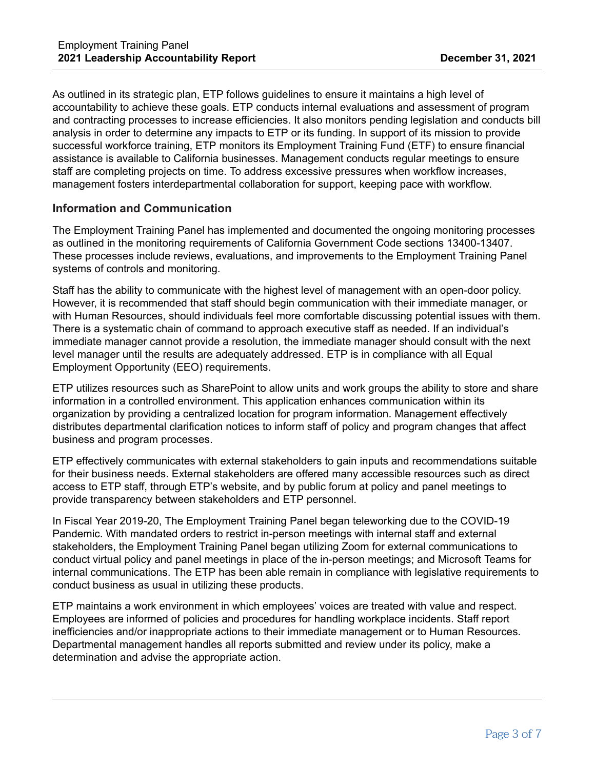As outlined in its strategic plan, ETP follows guidelines to ensure it maintains a high level of accountability to achieve these goals. ETP conducts internal evaluations and assessment of program and contracting processes to increase efficiencies. It also monitors pending legislation and conducts bill analysis in order to determine any impacts to ETP or its funding. In support of its mission to provide successful workforce training, ETP monitors its Employment Training Fund (ETF) to ensure financial assistance is available to California businesses. Management conducts regular meetings to ensure staff are completing projects on time. To address excessive pressures when workflow increases, management fosters interdepartmental collaboration for support, keeping pace with workflow.

# **Information and Communication**

The Employment Training Panel has implemented and documented the ongoing monitoring processes as outlined in the monitoring requirements of California Government Code sections 13400-13407. These processes include reviews, evaluations, and improvements to the Employment Training Panel systems of controls and monitoring.

Staff has the ability to communicate with the highest level of management with an open-door policy. However, it is recommended that staff should begin communication with their immediate manager, or with Human Resources, should individuals feel more comfortable discussing potential issues with them. There is a systematic chain of command to approach executive staff as needed. If an individual's immediate manager cannot provide a resolution, the immediate manager should consult with the next level manager until the results are adequately addressed. ETP is in compliance with all Equal Employment Opportunity (EEO) requirements.

ETP utilizes resources such as SharePoint to allow units and work groups the ability to store and share information in a controlled environment. This application enhances communication within its organization by providing a centralized location for program information. Management effectively distributes departmental clarification notices to inform staff of policy and program changes that affect business and program processes.

ETP effectively communicates with external stakeholders to gain inputs and recommendations suitable for their business needs. External stakeholders are offered many accessible resources such as direct access to ETP staff, through ETP's website, and by public forum at policy and panel meetings to provide transparency between stakeholders and ETP personnel.

In Fiscal Year 2019-20, The Employment Training Panel began teleworking due to the COVID-19 Pandemic. With mandated orders to restrict in-person meetings with internal staff and external stakeholders, the Employment Training Panel began utilizing Zoom for external communications to conduct virtual policy and panel meetings in place of the in-person meetings; and Microsoft Teams for internal communications. The ETP has been able remain in compliance with legislative requirements to conduct business as usual in utilizing these products.

ETP maintains a work environment in which employees' voices are treated with value and respect. Employees are informed of policies and procedures for handling workplace incidents. Staff report inefficiencies and/or inappropriate actions to their immediate management or to Human Resources. Departmental management handles all reports submitted and review under its policy, make a determination and advise the appropriate action.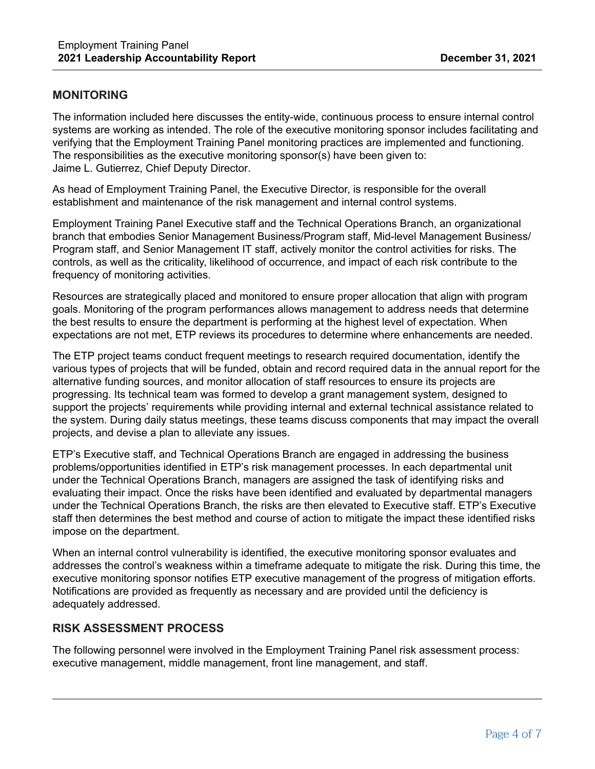## **MONITORING**

 verifying that the Employment Training Panel monitoring practices are implemented and functioning. Jaime L. Gutierrez, Chief Deputy Director. The information included here discusses the entity-wide, continuous process to ensure internal control systems are working as intended. The role of the executive monitoring sponsor includes facilitating and The responsibilities as the executive monitoring sponsor(s) have been given to:

As head of Employment Training Panel, the Executive Director, is responsible for the overall establishment and maintenance of the risk management and internal control systems.

Employment Training Panel Executive staff and the Technical Operations Branch, an organizational branch that embodies Senior Management Business/Program staff, Mid-level Management Business/ Program staff, and Senior Management IT staff, actively monitor the control activities for risks. The controls, as well as the criticality, likelihood of occurrence, and impact of each risk contribute to the frequency of monitoring activities.

Resources are strategically placed and monitored to ensure proper allocation that align with program goals. Monitoring of the program performances allows management to address needs that determine the best results to ensure the department is performing at the highest level of expectation. When expectations are not met, ETP reviews its procedures to determine where enhancements are needed.

The ETP project teams conduct frequent meetings to research required documentation, identify the various types of projects that will be funded, obtain and record required data in the annual report for the alternative funding sources, and monitor allocation of staff resources to ensure its projects are progressing. Its technical team was formed to develop a grant management system, designed to support the projects' requirements while providing internal and external technical assistance related to the system. During daily status meetings, these teams discuss components that may impact the overall projects, and devise a plan to alleviate any issues.

ETP's Executive staff, and Technical Operations Branch are engaged in addressing the business problems/opportunities identified in ETP's risk management processes. In each departmental unit under the Technical Operations Branch, managers are assigned the task of identifying risks and evaluating their impact. Once the risks have been identified and evaluated by departmental managers under the Technical Operations Branch, the risks are then elevated to Executive staff. ETP's Executive staff then determines the best method and course of action to mitigate the impact these identified risks impose on the department.

When an internal control vulnerability is identified, the executive monitoring sponsor evaluates and addresses the control's weakness within a timeframe adequate to mitigate the risk. During this time, the executive monitoring sponsor notifies ETP executive management of the progress of mitigation efforts. Notifications are provided as frequently as necessary and are provided until the deficiency is adequately addressed.

## **RISK ASSESSMENT PROCESS**

 The following personnel were involved in the Employment Training Panel risk assessment process: executive management, middle management, front line management, and staff.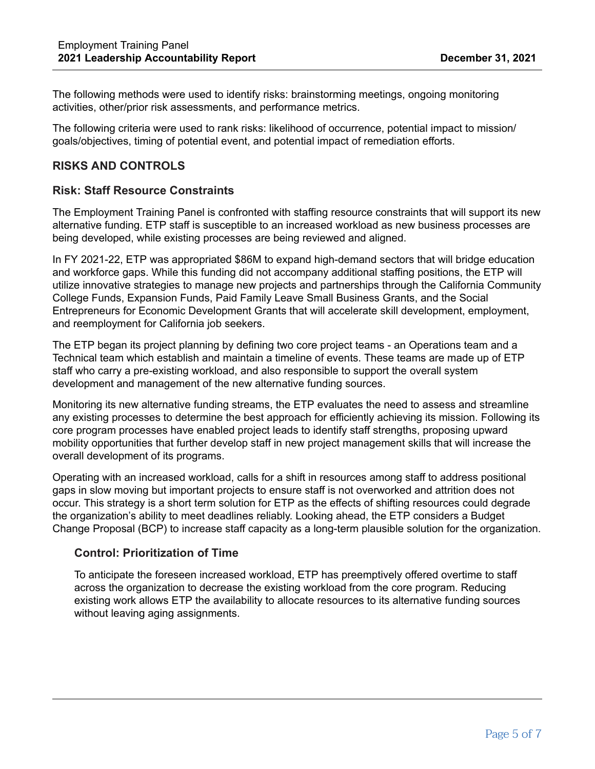The following methods were used to identify risks: brainstorming meetings, ongoing monitoring activities, other/prior risk assessments, and performance metrics.

The following criteria were used to rank risks: likelihood of occurrence, potential impact to mission/ goals/objectives, timing of potential event, and potential impact of remediation efforts.

## **RISKS AND CONTROLS**

#### **Risk: Staff Resource Constraints**

The Employment Training Panel is confronted with staffing resource constraints that will support its new alternative funding. ETP staff is susceptible to an increased workload as new business processes are being developed, while existing processes are being reviewed and aligned.

In FY 2021-22, ETP was appropriated \$86M to expand high-demand sectors that will bridge education and workforce gaps. While this funding did not accompany additional staffing positions, the ETP will utilize innovative strategies to manage new projects and partnerships through the California Community College Funds, Expansion Funds, Paid Family Leave Small Business Grants, and the Social Entrepreneurs for Economic Development Grants that will accelerate skill development, employment, and reemployment for California job seekers.

The ETP began its project planning by defining two core project teams - an Operations team and a Technical team which establish and maintain a timeline of events. These teams are made up of ETP staff who carry a pre-existing workload, and also responsible to support the overall system development and management of the new alternative funding sources.

Monitoring its new alternative funding streams, the ETP evaluates the need to assess and streamline any existing processes to determine the best approach for efficiently achieving its mission. Following its core program processes have enabled project leads to identify staff strengths, proposing upward mobility opportunities that further develop staff in new project management skills that will increase the overall development of its programs.

Operating with an increased workload, calls for a shift in resources among staff to address positional gaps in slow moving but important projects to ensure staff is not overworked and attrition does not occur. This strategy is a short term solution for ETP as the effects of shifting resources could degrade the organization's ability to meet deadlines reliably. Looking ahead, the ETP considers a Budget Change Proposal (BCP) to increase staff capacity as a long-term plausible solution for the organization.

#### **Control: Prioritization of Time**

To anticipate the foreseen increased workload, ETP has preemptively offered overtime to staff across the organization to decrease the existing workload from the core program. Reducing existing work allows ETP the availability to allocate resources to its alternative funding sources without leaving aging assignments.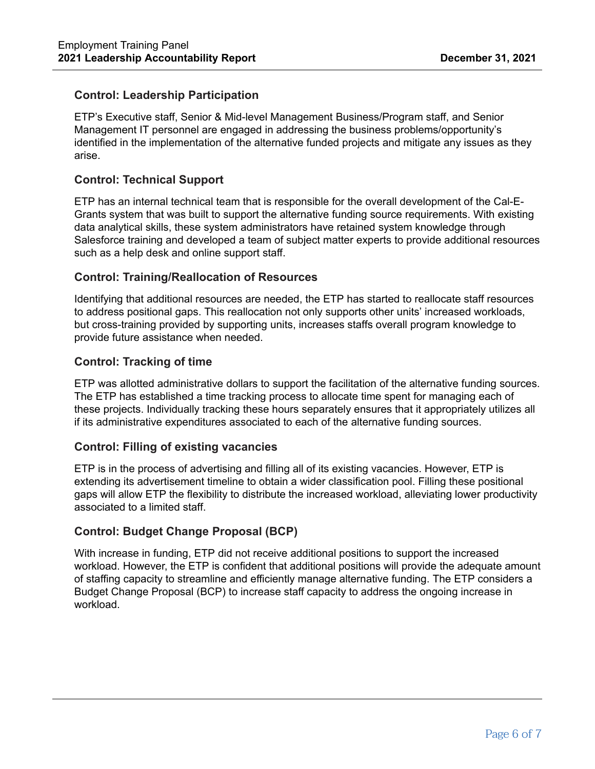## **Control: Leadership Participation**

ETP's Executive staff, Senior & Mid-level Management Business/Program staff, and Senior Management IT personnel are engaged in addressing the business problems/opportunity's identified in the implementation of the alternative funded projects and mitigate any issues as they arise.

## **Control: Technical Support**

ETP has an internal technical team that is responsible for the overall development of the Cal-E-Grants system that was built to support the alternative funding source requirements. With existing data analytical skills, these system administrators have retained system knowledge through Salesforce training and developed a team of subject matter experts to provide additional resources such as a help desk and online support staff.

## **Control: Training/Reallocation of Resources**

Identifying that additional resources are needed, the ETP has started to reallocate staff resources to address positional gaps. This reallocation not only supports other units' increased workloads, but cross-training provided by supporting units, increases staffs overall program knowledge to provide future assistance when needed.

## **Control: Tracking of time**

ETP was allotted administrative dollars to support the facilitation of the alternative funding sources. The ETP has established a time tracking process to allocate time spent for managing each of these projects. Individually tracking these hours separately ensures that it appropriately utilizes all if its administrative expenditures associated to each of the alternative funding sources.

## **Control: Filling of existing vacancies**

ETP is in the process of advertising and filling all of its existing vacancies. However, ETP is extending its advertisement timeline to obtain a wider classification pool. Filling these positional gaps will allow ETP the flexibility to distribute the increased workload, alleviating lower productivity associated to a limited staff.

# **Control: Budget Change Proposal (BCP)**

With increase in funding, ETP did not receive additional positions to support the increased workload. However, the ETP is confident that additional positions will provide the adequate amount of staffing capacity to streamline and efficiently manage alternative funding. The ETP considers a Budget Change Proposal (BCP) to increase staff capacity to address the ongoing increase in workload.